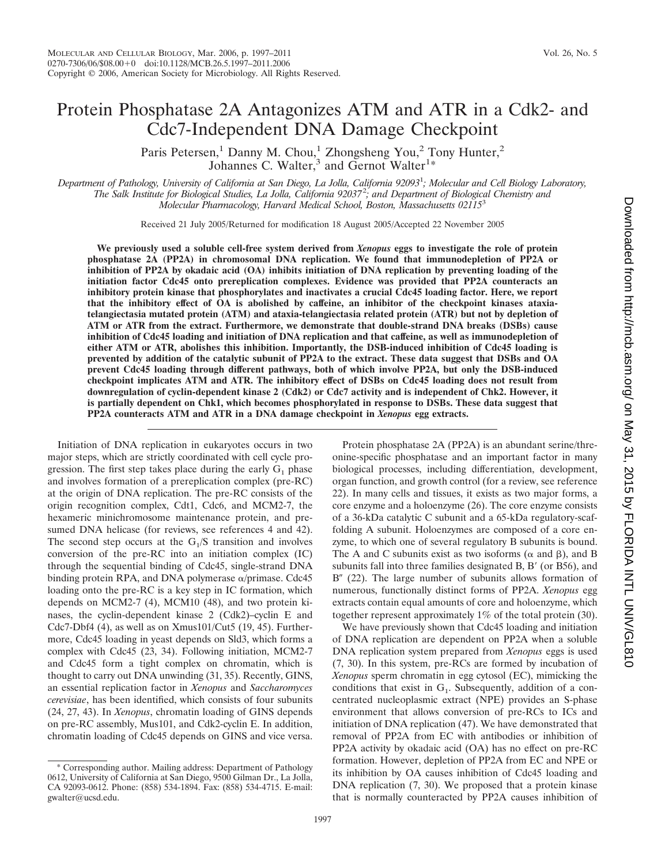# Protein Phosphatase 2A Antagonizes ATM and ATR in a Cdk2- and Cdc7-Independent DNA Damage Checkpoint

Paris Petersen,<sup>1</sup> Danny M. Chou,<sup>1</sup> Zhongsheng You,<sup>2</sup> Tony Hunter,<sup>2</sup> Johannes C. Walter,<sup>3</sup> and Gernot Walter<sup>1\*</sup>

*Department of Pathology, University of California at San Diego, La Jolla, California 92093*<sup>1</sup> *; Molecular and Cell Biology Laboratory, The Salk Institute for Biological Studies, La Jolla, California 92037*<sup>2</sup> *; and Department of Biological Chemistry and Molecular Pharmacology, Harvard Medical School, Boston, Massachusetts 02115*<sup>3</sup>

Received 21 July 2005/Returned for modification 18 August 2005/Accepted 22 November 2005

**We previously used a soluble cell-free system derived from** *Xenopus* **eggs to investigate the role of protein phosphatase 2A (PP2A) in chromosomal DNA replication. We found that immunodepletion of PP2A or inhibition of PP2A by okadaic acid (OA) inhibits initiation of DNA replication by preventing loading of the initiation factor Cdc45 onto prereplication complexes. Evidence was provided that PP2A counteracts an inhibitory protein kinase that phosphorylates and inactivates a crucial Cdc45 loading factor. Here, we report that the inhibitory effect of OA is abolished by caffeine, an inhibitor of the checkpoint kinases ataxiatelangiectasia mutated protein (ATM) and ataxia-telangiectasia related protein (ATR) but not by depletion of ATM or ATR from the extract. Furthermore, we demonstrate that double-strand DNA breaks (DSBs) cause inhibition of Cdc45 loading and initiation of DNA replication and that caffeine, as well as immunodepletion of either ATM or ATR, abolishes this inhibition. Importantly, the DSB-induced inhibition of Cdc45 loading is prevented by addition of the catalytic subunit of PP2A to the extract. These data suggest that DSBs and OA prevent Cdc45 loading through different pathways, both of which involve PP2A, but only the DSB-induced checkpoint implicates ATM and ATR. The inhibitory effect of DSBs on Cdc45 loading does not result from downregulation of cyclin-dependent kinase 2 (Cdk2) or Cdc7 activity and is independent of Chk2. However, it is partially dependent on Chk1, which becomes phosphorylated in response to DSBs. These data suggest that PP2A counteracts ATM and ATR in a DNA damage checkpoint in** *Xenopus* **egg extracts.**

Initiation of DNA replication in eukaryotes occurs in two major steps, which are strictly coordinated with cell cycle progression. The first step takes place during the early  $G_1$  phase and involves formation of a prereplication complex (pre-RC) at the origin of DNA replication. The pre-RC consists of the origin recognition complex, Cdt1, Cdc6, and MCM2-7, the hexameric minichromosome maintenance protein, and presumed DNA helicase (for reviews, see references 4 and 42). The second step occurs at the  $G_1/S$  transition and involves conversion of the pre-RC into an initiation complex (IC) through the sequential binding of Cdc45, single-strand DNA binding protein RPA, and DNA polymerase  $\alpha$ /primase. Cdc45 loading onto the pre-RC is a key step in IC formation, which depends on MCM2-7 (4), MCM10 (48), and two protein kinases, the cyclin-dependent kinase 2 (Cdk2)–cyclin E and Cdc7-Dbf4 (4), as well as on Xmus101/Cut5 (19, 45). Furthermore, Cdc45 loading in yeast depends on Sld3, which forms a complex with Cdc45 (23, 34). Following initiation, MCM2-7 and Cdc45 form a tight complex on chromatin, which is thought to carry out DNA unwinding (31, 35). Recently, GINS, an essential replication factor in *Xenopus* and *Saccharomyces cerevisiae*, has been identified, which consists of four subunits (24, 27, 43). In *Xenopus*, chromatin loading of GINS depends on pre-RC assembly, Mus101, and Cdk2-cyclin E. In addition, chromatin loading of Cdc45 depends on GINS and vice versa.

Protein phosphatase 2A (PP2A) is an abundant serine/threonine-specific phosphatase and an important factor in many biological processes, including differentiation, development, organ function, and growth control (for a review, see reference 22). In many cells and tissues, it exists as two major forms, a core enzyme and a holoenzyme (26). The core enzyme consists of a 36-kDa catalytic C subunit and a 65-kDa regulatory-scaffolding A subunit. Holoenzymes are composed of a core enzyme, to which one of several regulatory B subunits is bound. The A and C subunits exist as two isoforms ( $\alpha$  and  $\beta$ ), and B subunits fall into three families designated B, B' (or B56), and  $B''$  (22). The large number of subunits allows formation of numerous, functionally distinct forms of PP2A. *Xenopus* egg extracts contain equal amounts of core and holoenzyme, which together represent approximately 1% of the total protein (30).

We have previously shown that Cdc45 loading and initiation of DNA replication are dependent on PP2A when a soluble DNA replication system prepared from *Xenopus* eggs is used (7, 30). In this system, pre-RCs are formed by incubation of *Xenopus* sperm chromatin in egg cytosol (EC), mimicking the conditions that exist in  $G<sub>1</sub>$ . Subsequently, addition of a concentrated nucleoplasmic extract (NPE) provides an S-phase environment that allows conversion of pre-RCs to ICs and initiation of DNA replication (47). We have demonstrated that removal of PP2A from EC with antibodies or inhibition of PP2A activity by okadaic acid (OA) has no effect on pre-RC formation. However, depletion of PP2A from EC and NPE or its inhibition by OA causes inhibition of Cdc45 loading and DNA replication (7, 30). We proposed that a protein kinase that is normally counteracted by PP2A causes inhibition of

<sup>\*</sup> Corresponding author. Mailing address: Department of Pathology 0612, University of California at San Diego, 9500 Gilman Dr., La Jolla, CA 92093-0612. Phone: (858) 534-1894. Fax: (858) 534-4715. E-mail: gwalter@ucsd.edu.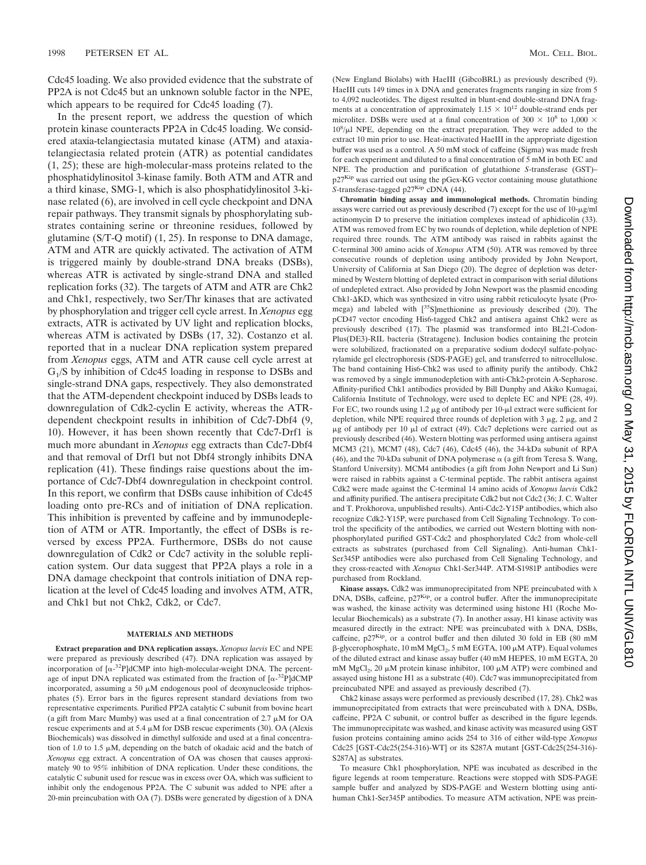Cdc45 loading. We also provided evidence that the substrate of PP2A is not Cdc45 but an unknown soluble factor in the NPE, which appears to be required for Cdc45 loading (7).

In the present report, we address the question of which protein kinase counteracts PP2A in Cdc45 loading. We considered ataxia-telangiectasia mutated kinase (ATM) and ataxiatelangiectasia related protein (ATR) as potential candidates (1, 25); these are high-molecular-mass proteins related to the phosphatidylinositol 3-kinase family. Both ATM and ATR and a third kinase, SMG-1, which is also phosphatidylinositol 3-kinase related (6), are involved in cell cycle checkpoint and DNA repair pathways. They transmit signals by phosphorylating substrates containing serine or threonine residues, followed by glutamine (S/T-Q motif) (1, 25). In response to DNA damage, ATM and ATR are quickly activated. The activation of ATM is triggered mainly by double-strand DNA breaks (DSBs), whereas ATR is activated by single-strand DNA and stalled replication forks (32). The targets of ATM and ATR are Chk2 and Chk1, respectively, two Ser/Thr kinases that are activated by phosphorylation and trigger cell cycle arrest. In *Xenopus* egg extracts, ATR is activated by UV light and replication blocks, whereas ATM is activated by DSBs (17, 32). Costanzo et al. reported that in a nuclear DNA replication system prepared from *Xenopus* eggs, ATM and ATR cause cell cycle arrest at  $G<sub>1</sub>/S$  by inhibition of Cdc45 loading in response to DSBs and single-strand DNA gaps, respectively. They also demonstrated that the ATM-dependent checkpoint induced by DSBs leads to downregulation of Cdk2-cyclin E activity, whereas the ATRdependent checkpoint results in inhibition of Cdc7-Dbf4 (9, 10). However, it has been shown recently that Cdc7-Drf1 is much more abundant in *Xenopus* egg extracts than Cdc7-Dbf4 and that removal of Drf1 but not Dbf4 strongly inhibits DNA replication (41). These findings raise questions about the importance of Cdc7-Dbf4 downregulation in checkpoint control. In this report, we confirm that DSBs cause inhibition of Cdc45 loading onto pre-RCs and of initiation of DNA replication. This inhibition is prevented by caffeine and by immunodepletion of ATM or ATR. Importantly, the effect of DSBs is reversed by excess PP2A. Furthermore, DSBs do not cause downregulation of Cdk2 or Cdc7 activity in the soluble replication system. Our data suggest that PP2A plays a role in a DNA damage checkpoint that controls initiation of DNA replication at the level of Cdc45 loading and involves ATM, ATR, and Chk1 but not Chk2, Cdk2, or Cdc7.

### **MATERIALS AND METHODS**

**Extract preparation and DNA replication assays.** *Xenopus laevis* EC and NPE were prepared as previously described (47). DNA replication was assayed by incorporation of  $[\alpha^{-32}P]$ dCMP into high-molecular-weight DNA. The percentage of input DNA replicated was estimated from the fraction of  $[\alpha^{-32}P]d$ CMP incorporated, assuming a 50  $\mu$ M endogenous pool of deoxynucleoside triphosphates (5). Error bars in the figures represent standard deviations from two representative experiments. Purified PP2A catalytic C subunit from bovine heart (a gift from Marc Mumby) was used at a final concentration of  $2.7 \mu M$  for OA rescue experiments and at 5.4  $\mu$ M for DSB rescue experiments (30). OA (Alexis Biochemicals) was dissolved in dimethyl sulfoxide and used at a final concentration of 1.0 to 1.5  $\mu$ M, depending on the batch of okadaic acid and the batch of *Xenopus* egg extract. A concentration of OA was chosen that causes approximately 90 to 95% inhibition of DNA replication. Under these conditions, the catalytic C subunit used for rescue was in excess over OA, which was sufficient to inhibit only the endogenous PP2A. The C subunit was added to NPE after a 20-min preincubation with OA (7). DSBs were generated by digestion of  $\lambda$  DNA

(New England Biolabs) with HaeIII (GibcoBRL) as previously described (9). HaeIII cuts 149 times in  $\lambda$  DNA and generates fragments ranging in size from 5 to 4,092 nucleotides. The digest resulted in blunt-end double-strand DNA fragments at a concentration of approximately  $1.15 \times 10^{12}$  double-strand ends per microliter. DSBs were used at a final concentration of 300  $\times$  10<sup>8</sup> to 1,000  $\times$ 10<sup>8</sup>/µl NPE, depending on the extract preparation. They were added to the extract 10 min prior to use. Heat-inactivated HaeIII in the appropriate digestion buffer was used as a control. A 50 mM stock of caffeine (Sigma) was made fresh for each experiment and diluted to a final concentration of 5 mM in both EC and NPE. The production and purification of glutathione *S*-transferase (GST)–  $p27<sup>Kip</sup>$  was carried out using the pGex-KG vector containing mouse glutathione *S*-transferase-tagged p27<sup>Kip</sup> cDNA (44).

**Chromatin binding assay and immunological methods.** Chromatin binding assays were carried out as previously described  $(7)$  except for the use of  $10$ - $\mu$ g/ml actinomycin D to preserve the initiation complexes instead of aphidicolin (33). ATM was removed from EC by two rounds of depletion, while depletion of NPE required three rounds. The ATM antibody was raised in rabbits against the C-terminal 300 amino acids of *Xenopus* ATM (50). ATR was removed by three consecutive rounds of depletion using antibody provided by John Newport, University of California at San Diego (20). The degree of depletion was determined by Western blotting of depleted extract in comparison with serial dilutions of undepleted extract. Also provided by John Newport was the plasmid encoding  $Chk1-\Delta KD$ , which was synthesized in vitro using rabbit reticulocyte lysate (Promega) and labeled with [35S]methionine as previously described (20). The pCD47 vector encoding His6-tagged Chk2 and antisera against Chk2 were as previously described (17). The plasmid was transformed into BL21-Codon-Plus(DE3)-RIL bacteria (Stratagene). Inclusion bodies containing the protein were solubilized, fractionated on a preparative sodium dodecyl sulfate-polyacrylamide gel electrophoresis (SDS-PAGE) gel, and transferred to nitrocellulose. The band containing His6-Chk2 was used to affinity purify the antibody. Chk2 was removed by a single immunodepletion with anti-Chk2-protein A-Sepharose. Affinity-purified Chk1 antibodies provided by Bill Dunphy and Akiko Kumagai, California Institute of Technology, were used to deplete EC and NPE (28, 49). For EC, two rounds using  $1.2 \mu$ g of antibody per  $10$ - $\mu$ l extract were sufficient for depletion, while NPE required three rounds of depletion with  $3 \mu g$ ,  $2 \mu g$ , and  $2 \mu g$  $\mu$ g of antibody per 10  $\mu$ l of extract (49). Cdc7 depletions were carried out as previously described (46). Western blotting was performed using antisera against MCM3 (21), MCM7 (48), Cdc7 (46), Cdc45 (46), the 34-kDa subunit of RPA (46), and the 70-kDa subunit of DNA polymerase  $\alpha$  (a gift from Teresa S. Wang, Stanford University). MCM4 antibodies (a gift from John Newport and Li Sun) were raised in rabbits against a C-terminal peptide. The rabbit antisera against Cdk2 were made against the C-terminal 14 amino acids of *Xenopus laevis* Cdk2 and affinity purified. The antisera precipitate Cdk2 but not Cdc2 (36; J. C. Walter and T. Prokhorova, unpublished results). Anti-Cdc2-Y15P antibodies, which also recognize Cdk2-Y15P, were purchased from Cell Signaling Technology. To control the specificity of the antibodies, we carried out Western blotting with nonphosphorylated purified GST-Cdc2 and phosphorylated Cdc2 from whole-cell extracts as substrates (purchased from Cell Signaling). Anti-human Chk1- Ser345P antibodies were also purchased from Cell Signaling Technology, and they cross-reacted with *Xenopus* Chk1-Ser344P. ATM-S1981P antibodies were purchased from Rockland.

Kinase assays. Cdk2 was immunoprecipitated from NPE preincubated with  $\lambda$ DNA, DSBs, caffeine, p27<sup>Kip</sup>, or a control buffer. After the immunoprecipitate was washed, the kinase activity was determined using histone H1 (Roche Molecular Biochemicals) as a substrate (7). In another assay, H1 kinase activity was measured directly in the extract: NPE was preincubated with  $\lambda$  DNA, DSBs, caffeine,  $p27<sup>Kip</sup>$ , or a control buffer and then diluted 30 fold in EB (80 mM  $\beta$ -glycerophosphate, 10 mM MgCl<sub>2</sub>, 5 mM EGTA, 100  $\mu$ M ATP). Equal volumes of the diluted extract and kinase assay buffer (40 mM HEPES, 10 mM EGTA, 20 mM MgCl<sub>2</sub>, 20  $\mu$ M protein kinase inhibitor, 100  $\mu$ M ATP) were combined and assayed using histone H1 as a substrate (40). Cdc7 was immunoprecipitated from preincubated NPE and assayed as previously described (7).

Chk2 kinase assays were performed as previously described (17, 28). Chk2 was immunoprecipitated from extracts that were preincubated with  $\lambda$  DNA, DSBs, caffeine, PP2A C subunit, or control buffer as described in the figure legends. The immunoprecipitate was washed, and kinase activity was measured using GST fusion proteins containing amino acids 254 to 316 of either wild-type *Xenopus* Cdc25 [GST-Cdc25(254-316)-WT] or its S287A mutant [GST-Cdc25(254-316)- S287A] as substrates.

To measure Chk1 phosphorylation, NPE was incubated as described in the figure legends at room temperature. Reactions were stopped with SDS-PAGE sample buffer and analyzed by SDS-PAGE and Western blotting using antihuman Chk1-Ser345P antibodies. To measure ATM activation, NPE was prein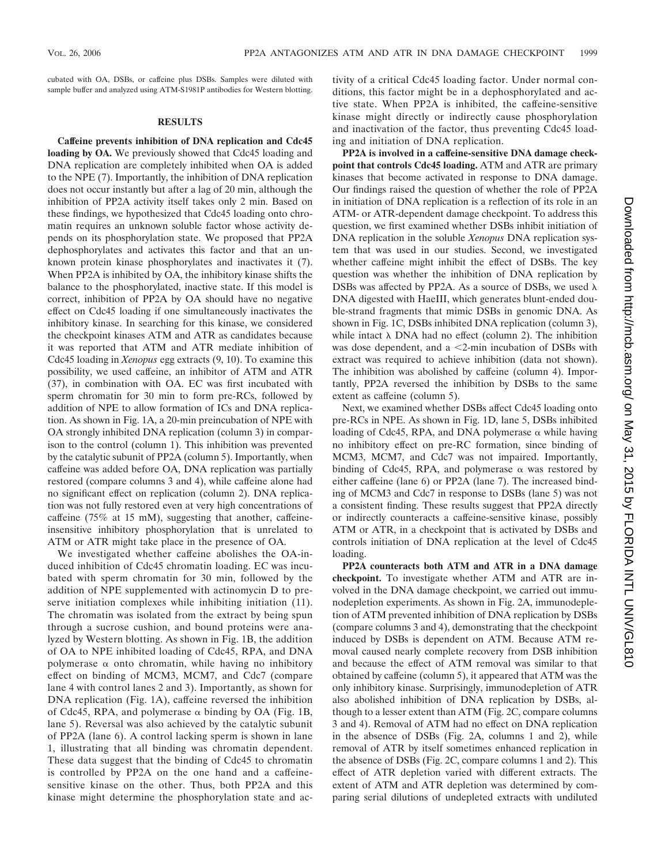cubated with OA, DSBs, or caffeine plus DSBs. Samples were diluted with sample buffer and analyzed using ATM-S1981P antibodies for Western blotting.

## **RESULTS**

**Caffeine prevents inhibition of DNA replication and Cdc45 loading by OA.** We previously showed that Cdc45 loading and DNA replication are completely inhibited when OA is added to the NPE (7). Importantly, the inhibition of DNA replication does not occur instantly but after a lag of 20 min, although the inhibition of PP2A activity itself takes only 2 min. Based on these findings, we hypothesized that Cdc45 loading onto chromatin requires an unknown soluble factor whose activity depends on its phosphorylation state. We proposed that PP2A dephosphorylates and activates this factor and that an unknown protein kinase phosphorylates and inactivates it (7). When PP2A is inhibited by OA, the inhibitory kinase shifts the balance to the phosphorylated, inactive state. If this model is correct, inhibition of PP2A by OA should have no negative effect on Cdc45 loading if one simultaneously inactivates the inhibitory kinase. In searching for this kinase, we considered the checkpoint kinases ATM and ATR as candidates because it was reported that ATM and ATR mediate inhibition of Cdc45 loading in *Xenopus* egg extracts (9, 10). To examine this possibility, we used caffeine, an inhibitor of ATM and ATR (37), in combination with OA. EC was first incubated with sperm chromatin for 30 min to form pre-RCs, followed by addition of NPE to allow formation of ICs and DNA replication. As shown in Fig. 1A, a 20-min preincubation of NPE with OA strongly inhibited DNA replication (column 3) in comparison to the control (column 1). This inhibition was prevented by the catalytic subunit of PP2A (column 5). Importantly, when caffeine was added before OA, DNA replication was partially restored (compare columns 3 and 4), while caffeine alone had no significant effect on replication (column 2). DNA replication was not fully restored even at very high concentrations of caffeine (75% at 15 mM), suggesting that another, caffeineinsensitive inhibitory phosphorylation that is unrelated to ATM or ATR might take place in the presence of OA.

We investigated whether caffeine abolishes the OA-induced inhibition of Cdc45 chromatin loading. EC was incubated with sperm chromatin for 30 min, followed by the addition of NPE supplemented with actinomycin D to preserve initiation complexes while inhibiting initiation (11). The chromatin was isolated from the extract by being spun through a sucrose cushion, and bound proteins were analyzed by Western blotting. As shown in Fig. 1B, the addition of OA to NPE inhibited loading of Cdc45, RPA, and DNA polymerase  $\alpha$  onto chromatin, while having no inhibitory effect on binding of MCM3, MCM7, and Cdc7 (compare lane 4 with control lanes 2 and 3). Importantly, as shown for DNA replication (Fig. 1A), caffeine reversed the inhibition of Cdc45, RPA, and polymerase  $\alpha$  binding by OA (Fig. 1B, lane 5). Reversal was also achieved by the catalytic subunit of PP2A (lane 6). A control lacking sperm is shown in lane 1, illustrating that all binding was chromatin dependent. These data suggest that the binding of Cdc45 to chromatin is controlled by PP2A on the one hand and a caffeinesensitive kinase on the other. Thus, both PP2A and this kinase might determine the phosphorylation state and activity of a critical Cdc45 loading factor. Under normal conditions, this factor might be in a dephosphorylated and active state. When PP2A is inhibited, the caffeine-sensitive kinase might directly or indirectly cause phosphorylation and inactivation of the factor, thus preventing Cdc45 loading and initiation of DNA replication.

**PP2A is involved in a caffeine-sensitive DNA damage checkpoint that controls Cdc45 loading.** ATM and ATR are primary kinases that become activated in response to DNA damage. Our findings raised the question of whether the role of PP2A in initiation of DNA replication is a reflection of its role in an ATM- or ATR-dependent damage checkpoint. To address this question, we first examined whether DSBs inhibit initiation of DNA replication in the soluble *Xenopus* DNA replication system that was used in our studies. Second, we investigated whether caffeine might inhibit the effect of DSBs. The key question was whether the inhibition of DNA replication by DSBs was affected by PP2A. As a source of DSBs, we used  $\lambda$ DNA digested with HaeIII, which generates blunt-ended double-strand fragments that mimic DSBs in genomic DNA. As shown in Fig. 1C, DSBs inhibited DNA replication (column 3), while intact  $\lambda$  DNA had no effect (column 2). The inhibition was dose dependent, and a 2-min incubation of DSBs with extract was required to achieve inhibition (data not shown). The inhibition was abolished by caffeine (column 4). Importantly, PP2A reversed the inhibition by DSBs to the same extent as caffeine (column 5).

Next, we examined whether DSBs affect Cdc45 loading onto pre-RCs in NPE. As shown in Fig. 1D, lane 5, DSBs inhibited loading of Cdc45, RPA, and DNA polymerase  $\alpha$  while having no inhibitory effect on pre-RC formation, since binding of MCM3, MCM7, and Cdc7 was not impaired. Importantly, binding of Cdc45, RPA, and polymerase  $\alpha$  was restored by either caffeine (lane 6) or PP2A (lane 7). The increased binding of MCM3 and Cdc7 in response to DSBs (lane 5) was not a consistent finding. These results suggest that PP2A directly or indirectly counteracts a caffeine-sensitive kinase, possibly ATM or ATR, in a checkpoint that is activated by DSBs and controls initiation of DNA replication at the level of Cdc45 loading.

**PP2A counteracts both ATM and ATR in a DNA damage checkpoint.** To investigate whether ATM and ATR are involved in the DNA damage checkpoint, we carried out immunodepletion experiments. As shown in Fig. 2A, immunodepletion of ATM prevented inhibition of DNA replication by DSBs (compare columns 3 and 4), demonstrating that the checkpoint induced by DSBs is dependent on ATM. Because ATM removal caused nearly complete recovery from DSB inhibition and because the effect of ATM removal was similar to that obtained by caffeine (column 5), it appeared that ATM was the only inhibitory kinase. Surprisingly, immunodepletion of ATR also abolished inhibition of DNA replication by DSBs, although to a lesser extent than ATM (Fig. 2C, compare columns 3 and 4). Removal of ATM had no effect on DNA replication in the absence of DSBs (Fig. 2A, columns 1 and 2), while removal of ATR by itself sometimes enhanced replication in the absence of DSBs (Fig. 2C, compare columns 1 and 2). This effect of ATR depletion varied with different extracts. The extent of ATM and ATR depletion was determined by comparing serial dilutions of undepleted extracts with undiluted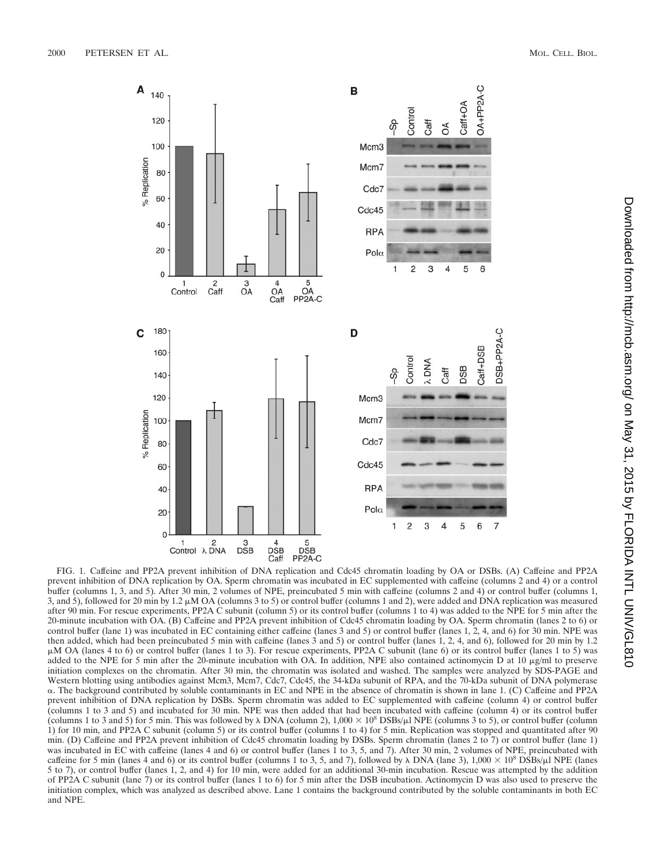

FIG. 1. Caffeine and PP2A prevent inhibition of DNA replication and Cdc45 chromatin loading by OA or DSBs. (A) Caffeine and PP2A prevent inhibition of DNA replication by OA. Sperm chromatin was incubated in EC supplemented with caffeine (columns 2 and 4) or a control buffer (columns 1, 3, and 5). After 30 min, 2 volumes of NPE, preincubated 5 min with caffeine (columns 2 and 4) or control buffer (columns 1, 3, and 5), followed for 20 min by 1.2  $\mu$ M OA (columns 3 to 5) or control buffer (columns 1 and 2), were added and DNA replication was measured after 90 min. For rescue experiments, PP2A C subunit (column 5) or its control buffer (columns 1 to 4) was added to the NPE for 5 min after the 20-minute incubation with OA. (B) Caffeine and PP2A prevent inhibition of Cdc45 chromatin loading by OA. Sperm chromatin (lanes 2 to 6) or control buffer (lane 1) was incubated in EC containing either caffeine (lanes 3 and 5) or control buffer (lanes 1, 2, 4, and 6) for 30 min. NPE was then added, which had been preincubated 5 min with caffeine (lanes 3 and 5) or control buffer (lanes 1, 2, 4, and 6), followed for 20 min by 1.2 μM OA (lanes 4 to 6) or control buffer (lanes 1 to 3). For rescue experiments, PP2A C subunit (lane 6) or its control buffer (lanes 1 to 5) was added to the NPE for 5 min after the 20-minute incubation with OA. In addition, NPE also contained actinomycin D at 10  $\mu$ g/ml to preserve initiation complexes on the chromatin. After 30 min, the chromatin was isolated and washed. The samples were analyzed by SDS-PAGE and Western blotting using antibodies against Mcm3, Mcm7, Cdc7, Cdc45, the 34-kDa subunit of RPA, and the 70-kDa subunit of DNA polymerase -. The background contributed by soluble contaminants in EC and NPE in the absence of chromatin is shown in lane 1. (C) Caffeine and PP2A prevent inhibition of DNA replication by DSBs. Sperm chromatin was added to EC supplemented with caffeine (column 4) or control buffer (columns 1 to 3 and 5) and incubated for 30 min. NPE was then added that had been incubated with caffeine (column 4) or its control buffer (columns 1 to 3 and 5) for 5 min. This was followed by  $\lambda$  DNA (column 2), 1,000  $\times$  10<sup>8</sup> DSBs/ $\mu$ l NPE (columns 3 to 5), or control buffer (column 1) for 10 min, and PP2A C subunit (column 5) or its control buffer (columns 1 to 4) for 5 min. Replication was stopped and quantitated after 90 min. (D) Caffeine and PP2A prevent inhibition of Cdc45 chromatin loading by DSBs. Sperm chromatin (lanes 2 to 7) or control buffer (lane 1) was incubated in EC with caffeine (lanes 4 and 6) or control buffer (lanes 1 to 3, 5, and 7). After 30 min, 2 volumes of NPE, preincubated with caffeine for 5 min (lanes 4 and 6) or its control buffer (columns 1 to 3, 5, and 7), followed by  $\lambda$  DNA (lane 3), 1,000  $\times$  10<sup>8</sup> DSBs/ $\mu$ l NPE (lanes 5 to 7), or control buffer (lanes 1, 2, and 4) for 10 min, were added for an additional 30-min incubation. Rescue was attempted by the addition of PP2A C subunit (lane 7) or its control buffer (lanes 1 to 6) for 5 min after the DSB incubation. Actinomycin D was also used to preserve the initiation complex, which was analyzed as described above. Lane 1 contains the background contributed by the soluble contaminants in both EC and NPE.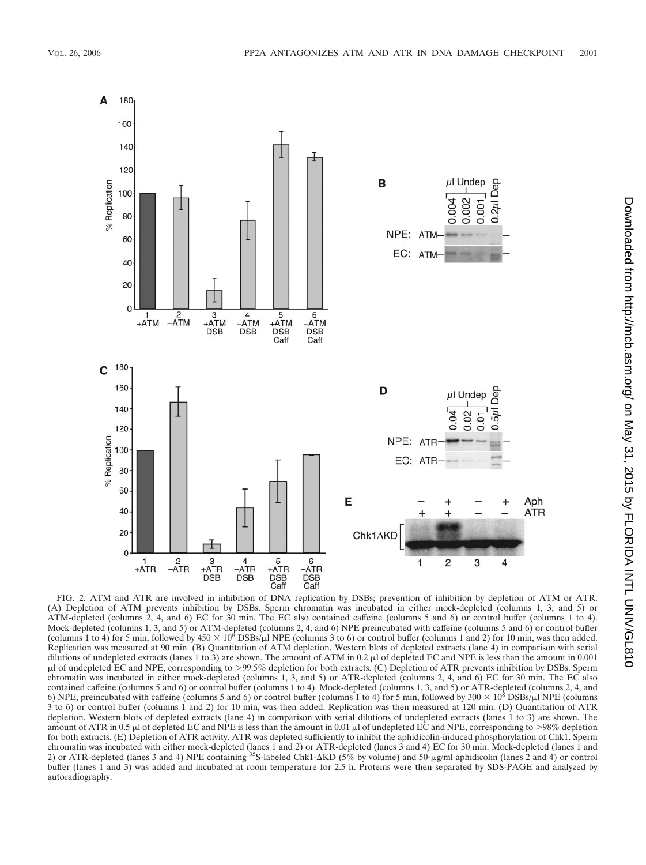

FIG. 2. ATM and ATR are involved in inhibition of DNA replication by DSBs; prevention of inhibition by depletion of ATM or ATR. (A) Depletion of ATM prevents inhibition by DSBs. Sperm chromatin was incubated in either mock-depleted (columns 1, 3, and 5) or ATM-depleted (columns 2, 4, and 6) EC for 30 min. The EC also contained caffeine (columns 5 and 6) or control buffer (columns 1 to 4). Mock-depleted (columns 1, 3, and 5) or ATM-depleted (columns 2, 4, and 6) NPE preincubated with caffeine (columns 5 and 6) or control buffer (columns 1 to 4) for 5 min, followed by  $450 \times 10^8$  DSBs/ $\mu$ l NPE (columns 3 to 6) or control buffer (columns 1 and 2) for 10 min, was then added. Replication was measured at 90 min. (B) Quantitation of ATM depletion. Western blots of depleted extracts (lane 4) in comparison with serial dilutions of undepleted extracts (lanes 1 to 3) are shown. The amount of ATM in 0.2 µl of depleted EC and NPE is less than the amount in 0.001 l of undepleted EC and NPE, corresponding to 99.5% depletion for both extracts. (C) Depletion of ATR prevents inhibition by DSBs. Sperm chromatin was incubated in either mock-depleted (columns 1, 3, and 5) or ATR-depleted (columns 2, 4, and 6) EC for 30 min. The EC also contained caffeine (columns 5 and 6) or control buffer (columns 1 to 4). Mock-depleted (columns 1, 3, and 5) or ATR-depleted (columns 2, 4, and 6) NPE, preincubated with caffeine (columns 5 and 6) or control buffer (columns 1 to 4) for 5 min, followed by 300  $\times$  10<sup>8</sup> DSBs/µl NPE (columns  $3$  to 6) or control buffer (columns 1 and 2) for 10 min, was then added. Replication was then measured at 120 min. (D) Quantitation of ATR depletion. Western blots of depleted extracts (lane 4) in comparison with serial dilutions of undepleted extracts (lanes 1 to 3) are shown. The amount of ATR in 0.5  $\mu$  of depleted EC and NPE is less than the amount in 0.01  $\mu$  of undepleted EC and NPE, corresponding to >98% depletion for both extracts. (E) Depletion of ATR activity. ATR was depleted sufficiently to inhibit the aphidicolin-induced phosphorylation of Chk1. Sperm chromatin was incubated with either mock-depleted (lanes 1 and 2) or ATR-depleted (lanes 3 and 4) EC for 30 min. Mock-depleted (lanes 1 and 2) or ATR-depleted (lanes 3 and 4) NPE containing <sup>35</sup>S-labeled Chk1- $\Delta$ KD (5% by volume) and 50-µg/ml aphidicolin (lanes 2 and 4) or control buffer (lanes 1 and 3) was added and incubated at room temperature for 2.5 h. Proteins were then separated by SDS-PAGE and analyzed by autoradiography.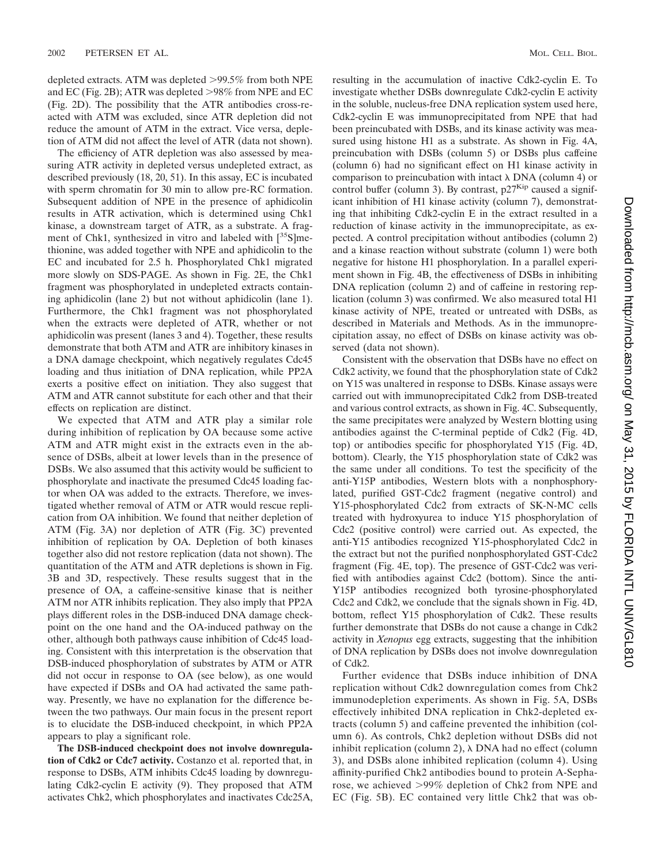depleted extracts. ATM was depleted >99.5% from both NPE and EC (Fig. 2B); ATR was depleted  $>98\%$  from NPE and EC (Fig. 2D). The possibility that the ATR antibodies cross-reacted with ATM was excluded, since ATR depletion did not reduce the amount of ATM in the extract. Vice versa, depletion of ATM did not affect the level of ATR (data not shown).

The efficiency of ATR depletion was also assessed by measuring ATR activity in depleted versus undepleted extract, as described previously (18, 20, 51). In this assay, EC is incubated with sperm chromatin for 30 min to allow pre-RC formation. Subsequent addition of NPE in the presence of aphidicolin results in ATR activation, which is determined using Chk1 kinase, a downstream target of ATR, as a substrate. A fragment of Chk1, synthesized in vitro and labeled with  $[35S]$ methionine, was added together with NPE and aphidicolin to the EC and incubated for 2.5 h. Phosphorylated Chk1 migrated more slowly on SDS-PAGE. As shown in Fig. 2E, the Chk1 fragment was phosphorylated in undepleted extracts containing aphidicolin (lane 2) but not without aphidicolin (lane 1). Furthermore, the Chk1 fragment was not phosphorylated when the extracts were depleted of ATR, whether or not aphidicolin was present (lanes 3 and 4). Together, these results demonstrate that both ATM and ATR are inhibitory kinases in a DNA damage checkpoint, which negatively regulates Cdc45 loading and thus initiation of DNA replication, while PP2A exerts a positive effect on initiation. They also suggest that ATM and ATR cannot substitute for each other and that their effects on replication are distinct.

We expected that ATM and ATR play a similar role during inhibition of replication by OA because some active ATM and ATR might exist in the extracts even in the absence of DSBs, albeit at lower levels than in the presence of DSBs. We also assumed that this activity would be sufficient to phosphorylate and inactivate the presumed Cdc45 loading factor when OA was added to the extracts. Therefore, we investigated whether removal of ATM or ATR would rescue replication from OA inhibition. We found that neither depletion of ATM (Fig. 3A) nor depletion of ATR (Fig. 3C) prevented inhibition of replication by OA. Depletion of both kinases together also did not restore replication (data not shown). The quantitation of the ATM and ATR depletions is shown in Fig. 3B and 3D, respectively. These results suggest that in the presence of OA, a caffeine-sensitive kinase that is neither ATM nor ATR inhibits replication. They also imply that PP2A plays different roles in the DSB-induced DNA damage checkpoint on the one hand and the OA-induced pathway on the other, although both pathways cause inhibition of Cdc45 loading. Consistent with this interpretation is the observation that DSB-induced phosphorylation of substrates by ATM or ATR did not occur in response to OA (see below), as one would have expected if DSBs and OA had activated the same pathway. Presently, we have no explanation for the difference between the two pathways. Our main focus in the present report is to elucidate the DSB-induced checkpoint, in which PP2A appears to play a significant role.

**The DSB-induced checkpoint does not involve downregulation of Cdk2 or Cdc7 activity.** Costanzo et al. reported that, in response to DSBs, ATM inhibits Cdc45 loading by downregulating Cdk2-cyclin E activity (9). They proposed that ATM activates Chk2, which phosphorylates and inactivates Cdc25A,

resulting in the accumulation of inactive Cdk2-cyclin E. To investigate whether DSBs downregulate Cdk2-cyclin E activity in the soluble, nucleus-free DNA replication system used here, Cdk2-cyclin E was immunoprecipitated from NPE that had been preincubated with DSBs, and its kinase activity was measured using histone H1 as a substrate. As shown in Fig. 4A, preincubation with DSBs (column 5) or DSBs plus caffeine (column 6) had no significant effect on H1 kinase activity in comparison to preincubation with intact  $\lambda$  DNA (column 4) or control buffer (column 3). By contrast,  $p27<sup>Kip</sup>$  caused a significant inhibition of H1 kinase activity (column 7), demonstrating that inhibiting Cdk2-cyclin E in the extract resulted in a reduction of kinase activity in the immunoprecipitate, as expected. A control precipitation without antibodies (column 2) and a kinase reaction without substrate (column 1) were both negative for histone H1 phosphorylation. In a parallel experiment shown in Fig. 4B, the effectiveness of DSBs in inhibiting DNA replication (column 2) and of caffeine in restoring replication (column 3) was confirmed. We also measured total H1 kinase activity of NPE, treated or untreated with DSBs, as described in Materials and Methods. As in the immunoprecipitation assay, no effect of DSBs on kinase activity was observed (data not shown).

Consistent with the observation that DSBs have no effect on Cdk2 activity, we found that the phosphorylation state of Cdk2 on Y15 was unaltered in response to DSBs. Kinase assays were carried out with immunoprecipitated Cdk2 from DSB-treated and various control extracts, as shown in Fig. 4C. Subsequently, the same precipitates were analyzed by Western blotting using antibodies against the C-terminal peptide of Cdk2 (Fig. 4D, top) or antibodies specific for phosphorylated Y15 (Fig. 4D, bottom). Clearly, the Y15 phosphorylation state of Cdk2 was the same under all conditions. To test the specificity of the anti-Y15P antibodies, Western blots with a nonphosphorylated, purified GST-Cdc2 fragment (negative control) and Y15-phosphorylated Cdc2 from extracts of SK-N-MC cells treated with hydroxyurea to induce Y15 phosphorylation of Cdc2 (positive control) were carried out. As expected, the anti-Y15 antibodies recognized Y15-phosphorylated Cdc2 in the extract but not the purified nonphosphorylated GST-Cdc2 fragment (Fig. 4E, top). The presence of GST-Cdc2 was verified with antibodies against Cdc2 (bottom). Since the anti-Y15P antibodies recognized both tyrosine-phosphorylated Cdc2 and Cdk2, we conclude that the signals shown in Fig. 4D, bottom, reflect Y15 phosphorylation of Cdk2. These results further demonstrate that DSBs do not cause a change in Cdk2 activity in *Xenopus* egg extracts, suggesting that the inhibition of DNA replication by DSBs does not involve downregulation of Cdk2.

Further evidence that DSBs induce inhibition of DNA replication without Cdk2 downregulation comes from Chk2 immunodepletion experiments. As shown in Fig. 5A, DSBs effectively inhibited DNA replication in Chk2-depleted extracts (column 5) and caffeine prevented the inhibition (column 6). As controls, Chk2 depletion without DSBs did not inhibit replication (column 2),  $\lambda$  DNA had no effect (column 3), and DSBs alone inhibited replication (column 4). Using affinity-purified Chk2 antibodies bound to protein A-Sepharose, we achieved 99% depletion of Chk2 from NPE and EC (Fig. 5B). EC contained very little Chk2 that was ob-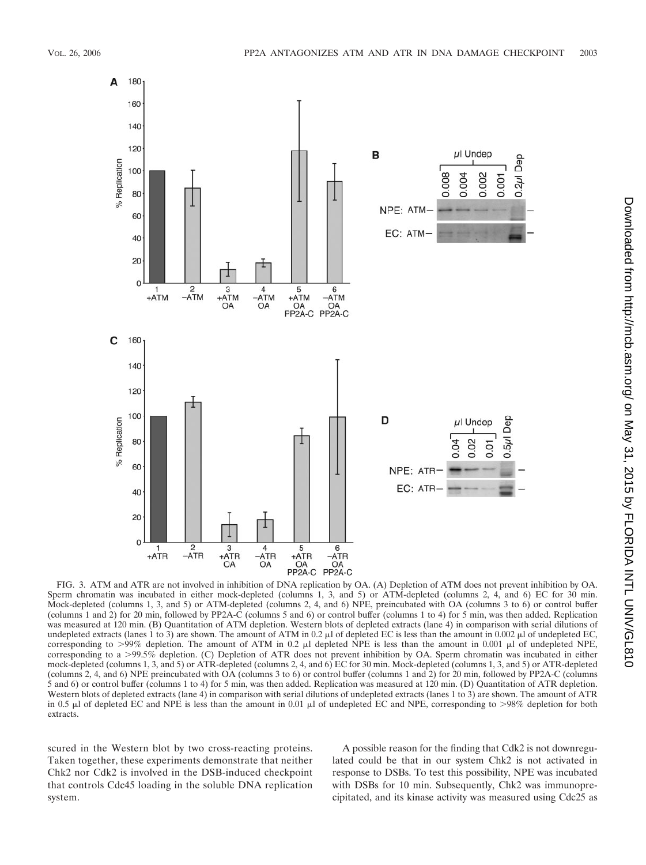

FIG. 3. ATM and ATR are not involved in inhibition of DNA replication by OA. (A) Depletion of ATM does not prevent inhibition by OA. Sperm chromatin was incubated in either mock-depleted (columns 1, 3, and 5) or ATM-depleted (columns 2, 4, and 6) EC for 30 min. Mock-depleted (columns 1, 3, and 5) or ATM-depleted (columns 2, 4, and 6) NPE, preincubated with OA (columns 3 to 6) or control buffer (columns 1 and 2) for 20 min, followed by PP2A-C (columns 5 and 6) or control buffer (columns 1 to 4) for 5 min, was then added. Replication was measured at 120 min. (B) Quantitation of ATM depletion. Western blots of depleted extracts (lane 4) in comparison with serial dilutions of undepleted extracts (lanes 1 to 3) are shown. The amount of ATM in 0.2  $\mu$  of depleted EC is less than the amount in 0.002  $\mu$  of undepleted EC. corresponding to  $>99\%$  depletion. The amount of ATM in 0.2  $\mu$ l depleted NPE is less than the amount in 0.001  $\mu$ l of undepleted NPE, corresponding to a >99.5% depletion. (C) Depletion of ATR does not prevent inhibition by OA. Sperm chromatin was incubated in either mock-depleted (columns 1, 3, and 5) or ATR-depleted (columns 2, 4, and 6) EC for 30 min. Mock-depleted (columns 1, 3, and 5) or ATR-depleted (columns 2, 4, and 6) NPE preincubated with OA (columns 3 to 6) or control buffer (columns 1 and 2) for 20 min, followed by PP2A-C (columns 5 and 6) or control buffer (columns 1 to 4) for 5 min, was then added. Replication was measured at 120 min. (D) Quantitation of ATR depletion. Western blots of depleted extracts (lane 4) in comparison with serial dilutions of undepleted extracts (lanes 1 to 3) are shown. The amount of ATR in 0.5  $\mu$ l of depleted EC and NPE is less than the amount in 0.01  $\mu$ l of undepleted EC and NPE, corresponding to >98% depletion for both extracts.

scured in the Western blot by two cross-reacting proteins. Taken together, these experiments demonstrate that neither Chk2 nor Cdk2 is involved in the DSB-induced checkpoint that controls Cdc45 loading in the soluble DNA replication system.

A possible reason for the finding that Cdk2 is not downregulated could be that in our system Chk2 is not activated in response to DSBs. To test this possibility, NPE was incubated with DSBs for 10 min. Subsequently, Chk2 was immunoprecipitated, and its kinase activity was measured using Cdc25 as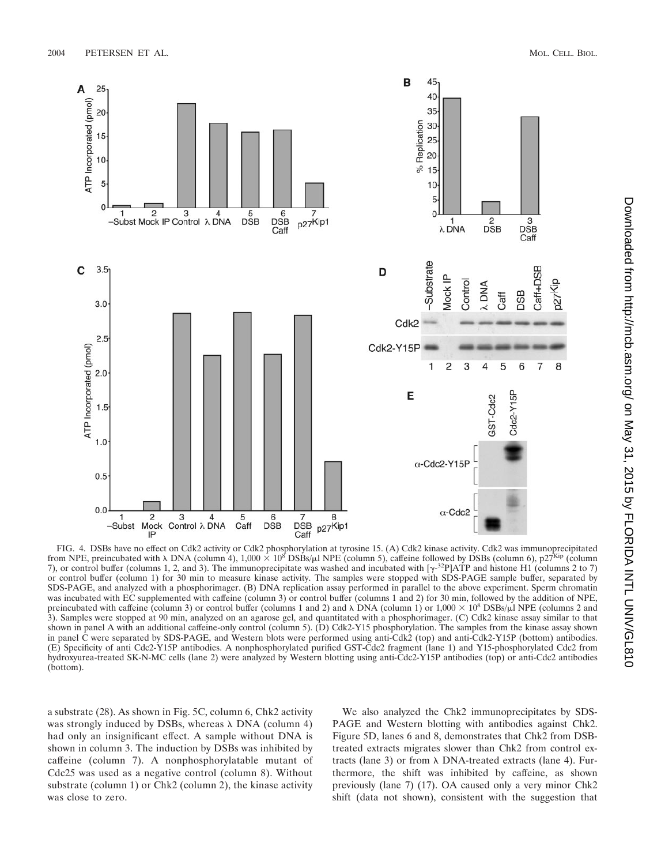

FIG. 4. DSBs have no effect on Cdk2 activity or Cdk2 phosphorylation at tyrosine 15. (A) Cdk2 kinase activity. Cdk2 was immunoprecipitated from NPE, preincubated with  $\lambda$  DNA (column 4), 1,000  $\times$  10<sup>8</sup> DSBs/ $\mu$ I NPE (column 5), caffeine followed by DSBs (column 6), p27<sup>Kip</sup> (column 7), or control buffer (columns 1, 2, and 3). The immunoprecipitate was washed and incubated with  $[\gamma^{32}P]ATP$  and histone H1 (columns 2 to 7) or control buffer (column 1) for 30 min to measure kinase activity. The samples were stopped with SDS-PAGE sample buffer, separated by SDS-PAGE, and analyzed with a phosphorimager. (B) DNA replication assay performed in parallel to the above experiment. Sperm chromatin was incubated with EC supplemented with caffeine (column 3) or control buffer (columns 1 and 2) for 30 min, followed by the addition of NPE, preincubated with caffeine (column 3) or control buffer (columns 1 and 2) and  $\lambda$  DNA (column 1) or 1,000  $\times$  10<sup>8</sup> DSBs/ $\mu$ l NPE (columns 2 and 3). Samples were stopped at 90 min, analyzed on an agarose gel, and quantitated with a phosphorimager. (C) Cdk2 kinase assay similar to that shown in panel A with an additional caffeine-only control (column 5). (D) Cdk2-Y15 phosphorylation. The samples from the kinase assay shown in panel C were separated by SDS-PAGE, and Western blots were performed using anti-Cdk2 (top) and anti-Cdk2-Y15P (bottom) antibodies. (E) Specificity of anti Cdc2-Y15P antibodies. A nonphosphorylated purified GST-Cdc2 fragment (lane 1) and Y15-phosphorylated Cdc2 from hydroxyurea-treated SK-N-MC cells (lane 2) were analyzed by Western blotting using anti-Cdc2-Y15P antibodies (top) or anti-Cdc2 antibodies (bottom).

a substrate (28). As shown in Fig. 5C, column 6, Chk2 activity was strongly induced by DSBs, whereas  $\lambda$  DNA (column 4) had only an insignificant effect. A sample without DNA is shown in column 3. The induction by DSBs was inhibited by caffeine (column 7). A nonphosphorylatable mutant of Cdc25 was used as a negative control (column 8). Without substrate (column 1) or Chk2 (column 2), the kinase activity was close to zero.

We also analyzed the Chk2 immunoprecipitates by SDS-PAGE and Western blotting with antibodies against Chk2. Figure 5D, lanes 6 and 8, demonstrates that Chk2 from DSBtreated extracts migrates slower than Chk2 from control extracts (lane 3) or from  $\lambda$  DNA-treated extracts (lane 4). Furthermore, the shift was inhibited by caffeine, as shown previously (lane 7) (17). OA caused only a very minor Chk2 shift (data not shown), consistent with the suggestion that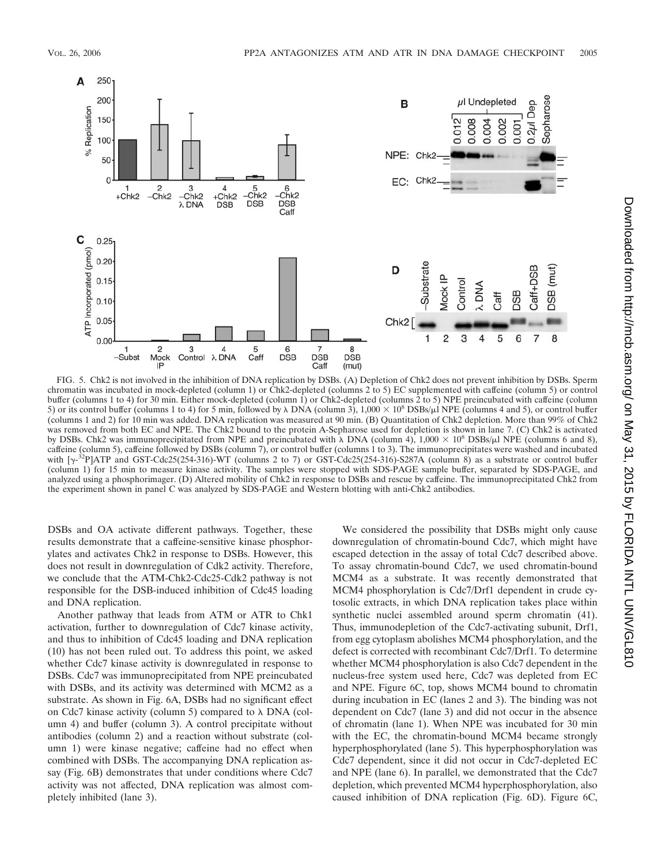

FIG. 5. Chk2 is not involved in the inhibition of DNA replication by DSBs. (A) Depletion of Chk2 does not prevent inhibition by DSBs. Sperm chromatin was incubated in mock-depleted (column 1) or Chk2-depleted (columns 2 to 5) EC supplemented with caffeine (column 5) or control buffer (columns 1 to 4) for 30 min. Either mock-depleted (column 1) or Chk2-depleted (columns 2 to 5) NPE preincubated with caffeine (column 5) or its control buffer (columns 1 to 4) for 5 min, followed by  $\lambda$  DNA (column 3),  $1,000 \times 10^8$  DSBs/ $\mu$ I NPE (columns 4 and 5), or control buffer (columns 1 and 2) for 10 min was added. DNA replication was measured at 90 min. (B) Quantitation of Chk2 depletion. More than 99% of Chk2 was removed from both EC and NPE. The Chk2 bound to the protein A-Sepharose used for depletion is shown in lane 7. (C) Chk2 is activated by DSBs. Chk2 was immunoprecipitated from NPE and preincubated with  $\lambda$  DNA (column 4), 1,000  $\times$  10<sup>8</sup> DSBs/ $\mu$ l NPE (columns 6 and 8), caffeine (column 5), caffeine followed by DSBs (column 7), or control buffer (columns 1 to 3). The immunoprecipitates were washed and incubated with  $[\gamma^{32}P]$ ATP and GST-Cdc25(254-316)-WT (columns 2 to 7) or GST-Cdc25(254-316)-S287A (column 8) as a substrate or control buffer (column 1) for 15 min to measure kinase activity. The samples were stopped with SDS-PAGE sample buffer, separated by SDS-PAGE, and analyzed using a phosphorimager. (D) Altered mobility of Chk2 in response to DSBs and rescue by caffeine. The immunoprecipitated Chk2 from the experiment shown in panel C was analyzed by SDS-PAGE and Western blotting with anti-Chk2 antibodies.

DSBs and OA activate different pathways. Together, these results demonstrate that a caffeine-sensitive kinase phosphorylates and activates Chk2 in response to DSBs. However, this does not result in downregulation of Cdk2 activity. Therefore, we conclude that the ATM-Chk2-Cdc25-Cdk2 pathway is not responsible for the DSB-induced inhibition of Cdc45 loading and DNA replication.

Another pathway that leads from ATM or ATR to Chk1 activation, further to downregulation of Cdc7 kinase activity, and thus to inhibition of Cdc45 loading and DNA replication (10) has not been ruled out. To address this point, we asked whether Cdc7 kinase activity is downregulated in response to DSBs. Cdc7 was immunoprecipitated from NPE preincubated with DSBs, and its activity was determined with MCM2 as a substrate. As shown in Fig. 6A, DSBs had no significant effect on Cdc7 kinase activity (column 5) compared to  $\lambda$  DNA (column 4) and buffer (column 3). A control precipitate without antibodies (column 2) and a reaction without substrate (column 1) were kinase negative; caffeine had no effect when combined with DSBs. The accompanying DNA replication assay (Fig. 6B) demonstrates that under conditions where Cdc7 activity was not affected, DNA replication was almost completely inhibited (lane 3).

We considered the possibility that DSBs might only cause downregulation of chromatin-bound Cdc7, which might have escaped detection in the assay of total Cdc7 described above. To assay chromatin-bound Cdc7, we used chromatin-bound MCM4 as a substrate. It was recently demonstrated that MCM4 phosphorylation is Cdc7/Drf1 dependent in crude cytosolic extracts, in which DNA replication takes place within synthetic nuclei assembled around sperm chromatin (41). Thus, immunodepletion of the Cdc7-activating subunit, Drf1, from egg cytoplasm abolishes MCM4 phosphorylation, and the defect is corrected with recombinant Cdc7/Drf1. To determine whether MCM4 phosphorylation is also Cdc7 dependent in the nucleus-free system used here, Cdc7 was depleted from EC and NPE. Figure 6C, top, shows MCM4 bound to chromatin during incubation in EC (lanes 2 and 3). The binding was not dependent on Cdc7 (lane 3) and did not occur in the absence of chromatin (lane 1). When NPE was incubated for 30 min with the EC, the chromatin-bound MCM4 became strongly hyperphosphorylated (lane 5). This hyperphosphorylation was Cdc7 dependent, since it did not occur in Cdc7-depleted EC and NPE (lane 6). In parallel, we demonstrated that the Cdc7 depletion, which prevented MCM4 hyperphosphorylation, also caused inhibition of DNA replication (Fig. 6D). Figure 6C,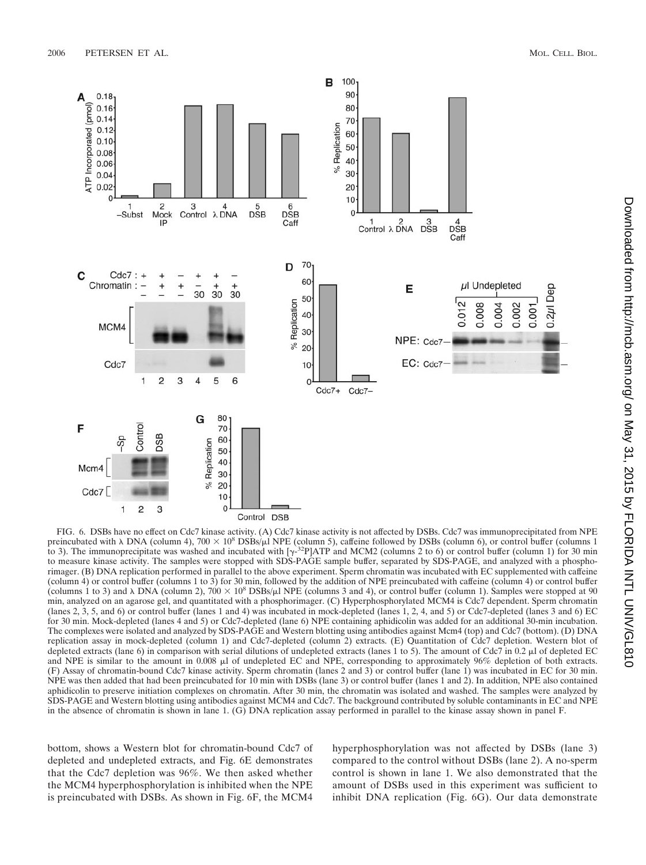

FIG. 6. DSBs have no effect on Cdc7 kinase activity. (A) Cdc7 kinase activity is not affected by DSBs. Cdc7 was immunoprecipitated from NPE preincubated with  $\lambda$  DNA (column 4), 700  $\times$  10<sup>8</sup> DSBs/ $\mu$ I NPE (column 5), caffeine followed by DSBs (column 6), or control buffer (columns 1 to 3). The immunoprecipitate was washed and incubated with  $\gamma^{32}P|ATP$  and MCM2 (columns 2 to 6) or control buffer (column 1) for 30 min to measure kinase activity. The samples were stopped with SDS-PAGE sample buffer, separated by SDS-PAGE, and analyzed with a phosphorimager. (B) DNA replication performed in parallel to the above experiment. Sperm chromatin was incubated with EC supplemented with caffeine (column 4) or control buffer (columns 1 to 3) for 30 min, followed by the addition of NPE preincubated with caffeine (column 4) or control buffer (columns 1 to 3) and  $\lambda$  DNA (column 2), 700  $\times$  10<sup>8</sup> DSBs/ $\mu$ I NPE (columns 3 and 4), or control buffer (column 1). Samples were stopped at 90 min, analyzed on an agarose gel, and quantitated with a phosphorimager. (C) Hyperphosphorylated MCM4 is Cdc7 dependent. Sperm chromatin (lanes 2, 3, 5, and 6) or control buffer (lanes 1 and 4) was incubated in mock-depleted (lanes 1, 2, 4, and 5) or Cdc7-depleted (lanes 3 and 6) EC for 30 min. Mock-depleted (lanes 4 and 5) or Cdc7-depleted (lane 6) NPE containing aphidicolin was added for an additional 30-min incubation. The complexes were isolated and analyzed by SDS-PAGE and Western blotting using antibodies against Mcm4 (top) and Cdc7 (bottom). (D) DNA replication assay in mock-depleted (column 1) and Cdc7-depleted (column 2) extracts. (E) Quantitation of Cdc7 depletion. Western blot of depleted extracts (lane 6) in comparison with serial dilutions of undepleted extracts (lanes 1 to 5). The amount of Cdc7 in 0.2  $\mu$ l of depleted EC and NPE is similar to the amount in 0.008  $\mu$ l of undepleted EC and NPE, corresponding to approximately 96% depletion of both extracts. (F) Assay of chromatin-bound Cdc7 kinase activity. Sperm chromatin (lanes 2 and 3) or control buffer (lane 1) was incubated in EC for 30 min. NPE was then added that had been preincubated for 10 min with DSBs (lane 3) or control buffer (lanes 1 and 2). In addition, NPE also contained aphidicolin to preserve initiation complexes on chromatin. After 30 min, the chromatin was isolated and washed. The samples were analyzed by SDS-PAGE and Western blotting using antibodies against MCM4 and Cdc7. The background contributed by soluble contaminants in EC and NPE in the absence of chromatin is shown in lane 1. (G) DNA replication assay performed in parallel to the kinase assay shown in panel F.

bottom, shows a Western blot for chromatin-bound Cdc7 of depleted and undepleted extracts, and Fig. 6E demonstrates that the Cdc7 depletion was 96%. We then asked whether the MCM4 hyperphosphorylation is inhibited when the NPE is preincubated with DSBs. As shown in Fig. 6F, the MCM4

hyperphosphorylation was not affected by DSBs (lane 3) compared to the control without DSBs (lane 2). A no-sperm control is shown in lane 1. We also demonstrated that the amount of DSBs used in this experiment was sufficient to inhibit DNA replication (Fig. 6G). Our data demonstrate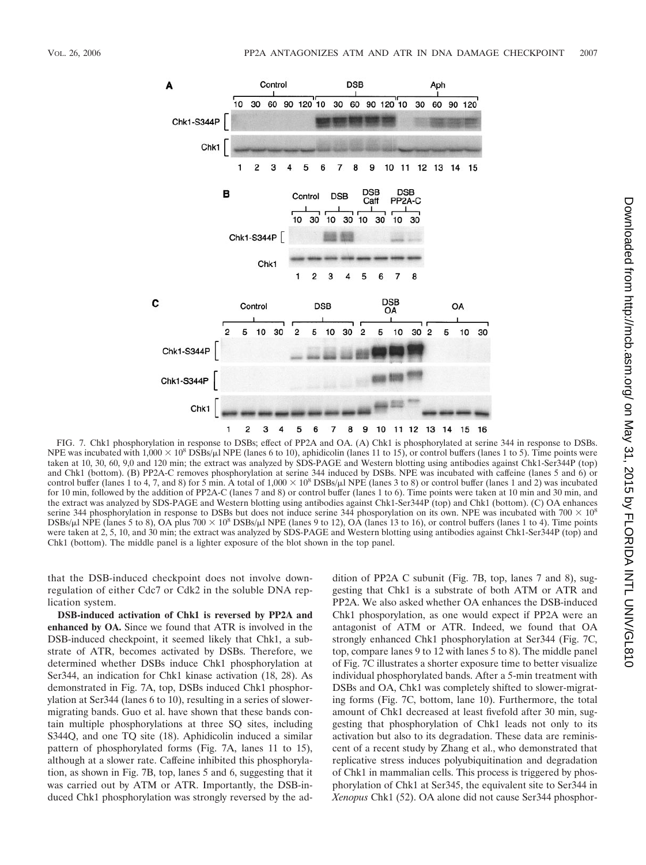

FIG. 7. Chk1 phosphorylation in response to DSBs; effect of PP2A and OA. (A) Chk1 is phosphorylated at serine 344 in response to DSBs. NPE was incubated with  $1,000 \times 10^8$  DSBs/ $\mu$ l NPE (lanes 6 to 10), aphidicolin (lanes 11 to 15), or control buffers (lanes 1 to 5). Time points were taken at 10, 30, 60, 9,0 and 120 min; the extract was analyzed by SDS-PAGE and Western blotting using antibodies against Chk1-Ser344P (top) and Chk1 (bottom). (B) PP2A-C removes phosphorylation at serine 344 induced by DSBs. NPE was incubated with caffeine (lanes 5 and 6) or control buffer (lanes 1 to 4, 7, and 8) for 5 min. A total of  $1,000 \times 10^8$  DSBs/ $\mu$ l NPE (lanes 3 to 8) or control buffer (lanes 1 and 2) was incubated for 10 min, followed by the addition of PP2A-C (lanes 7 and 8) or control buffer (lanes 1 to 6). Time points were taken at 10 min and 30 min, and the extract was analyzed by SDS-PAGE and Western blotting using antibodies against Chk1-Ser344P (top) and Chk1 (bottom). (C) OA enhances serine 344 phosphorylation in response to DSBs but does not induce serine 344 phosporylation on its own. NPE was incubated with 700  $\times$  10<sup>8</sup>  $DSBs/\mu$  NPE (lanes 5 to 8), OA plus 700  $\times$  10<sup>8</sup> DSBs/ $\mu$  NPE (lanes 9 to 12), OA (lanes 13 to 16), or control buffers (lanes 1 to 4). Time points were taken at 2, 5, 10, and 30 min; the extract was analyzed by SDS-PAGE and Western blotting using antibodies against Chk1-Ser344P (top) and Chk1 (bottom). The middle panel is a lighter exposure of the blot shown in the top panel.

that the DSB-induced checkpoint does not involve downregulation of either Cdc7 or Cdk2 in the soluble DNA replication system.

**DSB-induced activation of Chk1 is reversed by PP2A and enhanced by OA.** Since we found that ATR is involved in the DSB-induced checkpoint, it seemed likely that Chk1, a substrate of ATR, becomes activated by DSBs. Therefore, we determined whether DSBs induce Chk1 phosphorylation at Ser344, an indication for Chk1 kinase activation (18, 28). As demonstrated in Fig. 7A, top, DSBs induced Chk1 phosphorylation at Ser344 (lanes 6 to 10), resulting in a series of slowermigrating bands. Guo et al. have shown that these bands contain multiple phosphorylations at three SQ sites, including S344Q, and one TQ site (18). Aphidicolin induced a similar pattern of phosphorylated forms (Fig. 7A, lanes 11 to 15), although at a slower rate. Caffeine inhibited this phosphorylation, as shown in Fig. 7B, top, lanes 5 and 6, suggesting that it was carried out by ATM or ATR. Importantly, the DSB-induced Chk1 phosphorylation was strongly reversed by the addition of PP2A C subunit (Fig. 7B, top, lanes 7 and 8), suggesting that Chk1 is a substrate of both ATM or ATR and PP2A. We also asked whether OA enhances the DSB-induced Chk1 phosporylation, as one would expect if PP2A were an antagonist of ATM or ATR. Indeed, we found that OA strongly enhanced Chk1 phosphorylation at Ser344 (Fig. 7C, top, compare lanes 9 to 12 with lanes 5 to 8). The middle panel of Fig. 7C illustrates a shorter exposure time to better visualize individual phosphorylated bands. After a 5-min treatment with DSBs and OA, Chk1 was completely shifted to slower-migrating forms (Fig. 7C, bottom, lane 10). Furthermore, the total amount of Chk1 decreased at least fivefold after 30 min, suggesting that phosphorylation of Chk1 leads not only to its activation but also to its degradation. These data are reminiscent of a recent study by Zhang et al., who demonstrated that replicative stress induces polyubiquitination and degradation of Chk1 in mammalian cells. This process is triggered by phosphorylation of Chk1 at Ser345, the equivalent site to Ser344 in *Xenopus* Chk1 (52). OA alone did not cause Ser344 phosphor-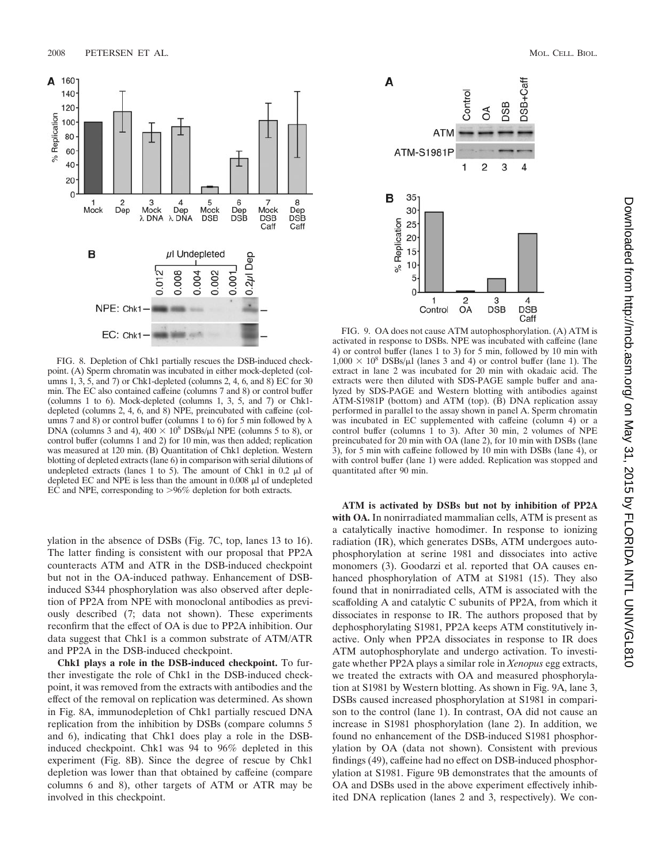

FIG. 8. Depletion of Chk1 partially rescues the DSB-induced checkpoint. (A) Sperm chromatin was incubated in either mock-depleted (columns 1, 3, 5, and 7) or Chk1-depleted (columns 2, 4, 6, and 8) EC for 30 min. The EC also contained caffeine (columns 7 and 8) or control buffer (columns 1 to 6). Mock-depleted (columns 1, 3, 5, and 7) or Chk1 depleted (columns 2, 4, 6, and 8) NPE, preincubated with caffeine (columns 7 and 8) or control buffer (columns 1 to 6) for 5 min followed by  $\lambda$ DNA (columns 3 and 4),  $400 \times 10^8$  DSBs/ $\mu$ l NPE (columns 5 to 8), or control buffer (columns 1 and 2) for 10 min, was then added; replication was measured at 120 min. (B) Quantitation of Chk1 depletion. Western blotting of depleted extracts (lane 6) in comparison with serial dilutions of undepleted extracts (lanes 1 to 5). The amount of Chk1 in 0.2  $\mu$ l of depleted EC and NPE is less than the amount in  $0.008 \mu$ l of undepleted EC and NPE, corresponding to >96% depletion for both extracts.

ylation in the absence of DSBs (Fig. 7C, top, lanes 13 to 16). The latter finding is consistent with our proposal that PP2A counteracts ATM and ATR in the DSB-induced checkpoint but not in the OA-induced pathway. Enhancement of DSBinduced S344 phosphorylation was also observed after depletion of PP2A from NPE with monoclonal antibodies as previously described (7; data not shown). These experiments reconfirm that the effect of OA is due to PP2A inhibition. Our data suggest that Chk1 is a common substrate of ATM/ATR and PP2A in the DSB-induced checkpoint.

**Chk1 plays a role in the DSB-induced checkpoint.** To further investigate the role of Chk1 in the DSB-induced checkpoint, it was removed from the extracts with antibodies and the effect of the removal on replication was determined. As shown in Fig. 8A, immunodepletion of Chk1 partially rescued DNA replication from the inhibition by DSBs (compare columns 5 and 6), indicating that Chk1 does play a role in the DSBinduced checkpoint. Chk1 was 94 to 96% depleted in this experiment (Fig. 8B). Since the degree of rescue by Chk1 depletion was lower than that obtained by caffeine (compare columns 6 and 8), other targets of ATM or ATR may be involved in this checkpoint.



FIG. 9. OA does not cause ATM autophosphorylation. (A) ATM is activated in response to DSBs. NPE was incubated with caffeine (lane 4) or control buffer (lanes 1 to 3) for 5 min, followed by 10 min with  $1,000 \times 10^8$  DSBs/ $\mu$ l (lanes 3 and 4) or control buffer (lane 1). The extract in lane 2 was incubated for 20 min with okadaic acid. The extracts were then diluted with SDS-PAGE sample buffer and analyzed by SDS-PAGE and Western blotting with antibodies against ATM-S1981P (bottom) and ATM (top). (B) DNA replication assay performed in parallel to the assay shown in panel A. Sperm chromatin was incubated in EC supplemented with caffeine (column 4) or a control buffer (columns 1 to 3). After 30 min, 2 volumes of NPE preincubated for 20 min with OA (lane 2), for 10 min with DSBs (lane 3), for 5 min with caffeine followed by 10 min with DSBs (lane 4), or with control buffer (lane 1) were added. Replication was stopped and quantitated after 90 min.

**ATM is activated by DSBs but not by inhibition of PP2A with OA.** In nonirradiated mammalian cells, ATM is present as a catalytically inactive homodimer. In response to ionizing radiation (IR), which generates DSBs, ATM undergoes autophosphorylation at serine 1981 and dissociates into active monomers (3). Goodarzi et al. reported that OA causes enhanced phosphorylation of ATM at S1981 (15). They also found that in nonirradiated cells, ATM is associated with the scaffolding A and catalytic C subunits of PP2A, from which it dissociates in response to IR. The authors proposed that by dephosphorylating S1981, PP2A keeps ATM constitutively inactive. Only when PP2A dissociates in response to IR does ATM autophosphorylate and undergo activation. To investigate whether PP2A plays a similar role in *Xenopus* egg extracts, we treated the extracts with OA and measured phosphorylation at S1981 by Western blotting. As shown in Fig. 9A, lane 3, DSBs caused increased phosphorylation at S1981 in comparison to the control (lane 1). In contrast, OA did not cause an increase in S1981 phosphorylation (lane 2). In addition, we found no enhancement of the DSB-induced S1981 phosphorylation by OA (data not shown). Consistent with previous findings (49), caffeine had no effect on DSB-induced phosphorylation at S1981. Figure 9B demonstrates that the amounts of OA and DSBs used in the above experiment effectively inhibited DNA replication (lanes 2 and 3, respectively). We con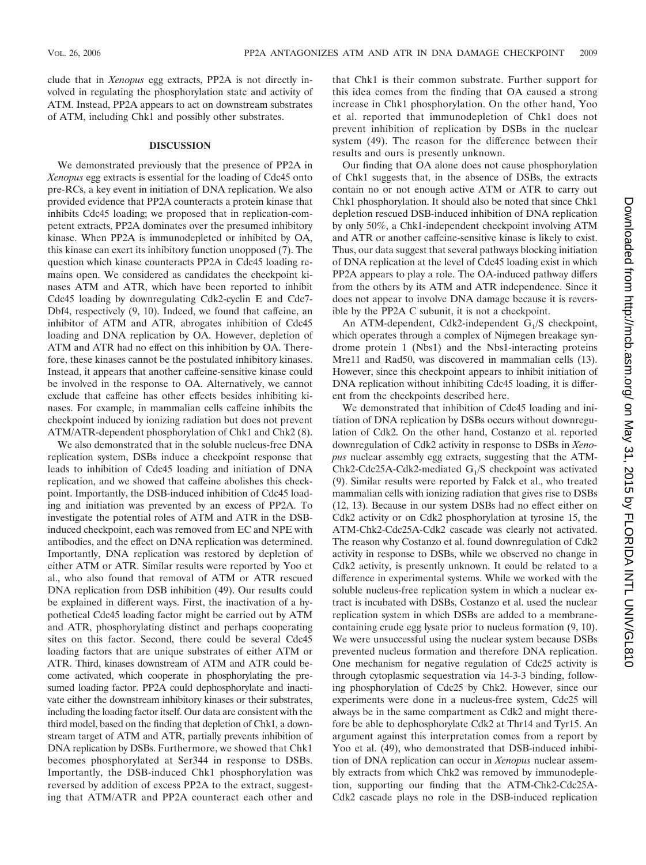clude that in *Xenopus* egg extracts, PP2A is not directly involved in regulating the phosphorylation state and activity of ATM. Instead, PP2A appears to act on downstream substrates of ATM, including Chk1 and possibly other substrates.

#### **DISCUSSION**

We demonstrated previously that the presence of PP2A in *Xenopus* egg extracts is essential for the loading of Cdc45 onto pre-RCs, a key event in initiation of DNA replication. We also provided evidence that PP2A counteracts a protein kinase that inhibits Cdc45 loading; we proposed that in replication-competent extracts, PP2A dominates over the presumed inhibitory kinase. When PP2A is immunodepleted or inhibited by OA, this kinase can exert its inhibitory function unopposed (7). The question which kinase counteracts PP2A in Cdc45 loading remains open. We considered as candidates the checkpoint kinases ATM and ATR, which have been reported to inhibit Cdc45 loading by downregulating Cdk2-cyclin E and Cdc7- Dbf4, respectively (9, 10). Indeed, we found that caffeine, an inhibitor of ATM and ATR, abrogates inhibition of Cdc45 loading and DNA replication by OA. However, depletion of ATM and ATR had no effect on this inhibition by OA. Therefore, these kinases cannot be the postulated inhibitory kinases. Instead, it appears that another caffeine-sensitive kinase could be involved in the response to OA. Alternatively, we cannot exclude that caffeine has other effects besides inhibiting kinases. For example, in mammalian cells caffeine inhibits the checkpoint induced by ionizing radiation but does not prevent ATM/ATR-dependent phosphorylation of Chk1 and Chk2 (8).

We also demonstrated that in the soluble nucleus-free DNA replication system, DSBs induce a checkpoint response that leads to inhibition of Cdc45 loading and initiation of DNA replication, and we showed that caffeine abolishes this checkpoint. Importantly, the DSB-induced inhibition of Cdc45 loading and initiation was prevented by an excess of PP2A. To investigate the potential roles of ATM and ATR in the DSBinduced checkpoint, each was removed from EC and NPE with antibodies, and the effect on DNA replication was determined. Importantly, DNA replication was restored by depletion of either ATM or ATR. Similar results were reported by Yoo et al., who also found that removal of ATM or ATR rescued DNA replication from DSB inhibition (49). Our results could be explained in different ways. First, the inactivation of a hypothetical Cdc45 loading factor might be carried out by ATM and ATR, phosphorylating distinct and perhaps cooperating sites on this factor. Second, there could be several Cdc45 loading factors that are unique substrates of either ATM or ATR. Third, kinases downstream of ATM and ATR could become activated, which cooperate in phosphorylating the presumed loading factor. PP2A could dephosphorylate and inactivate either the downstream inhibitory kinases or their substrates, including the loading factor itself. Our data are consistent with the third model, based on the finding that depletion of Chk1, a downstream target of ATM and ATR, partially prevents inhibition of DNA replication by DSBs. Furthermore, we showed that Chk1 becomes phosphorylated at Ser344 in response to DSBs. Importantly, the DSB-induced Chk1 phosphorylation was reversed by addition of excess PP2A to the extract, suggesting that ATM/ATR and PP2A counteract each other and

that Chk1 is their common substrate. Further support for this idea comes from the finding that OA caused a strong increase in Chk1 phosphorylation. On the other hand, Yoo et al. reported that immunodepletion of Chk1 does not prevent inhibition of replication by DSBs in the nuclear system (49). The reason for the difference between their results and ours is presently unknown.

Our finding that OA alone does not cause phosphorylation of Chk1 suggests that, in the absence of DSBs, the extracts contain no or not enough active ATM or ATR to carry out Chk1 phosphorylation. It should also be noted that since Chk1 depletion rescued DSB-induced inhibition of DNA replication by only 50%, a Chk1-independent checkpoint involving ATM and ATR or another caffeine-sensitive kinase is likely to exist. Thus, our data suggest that several pathways blocking initiation of DNA replication at the level of Cdc45 loading exist in which PP2A appears to play a role. The OA-induced pathway differs from the others by its ATM and ATR independence. Since it does not appear to involve DNA damage because it is reversible by the PP2A C subunit, it is not a checkpoint.

An ATM-dependent, Cdk2-independent  $G_1/S$  checkpoint, which operates through a complex of Nijmegen breakage syndrome protein 1 (Nbs1) and the Nbs1-interacting proteins Mre11 and Rad50, was discovered in mammalian cells (13). However, since this checkpoint appears to inhibit initiation of DNA replication without inhibiting Cdc45 loading, it is different from the checkpoints described here.

We demonstrated that inhibition of Cdc45 loading and initiation of DNA replication by DSBs occurs without downregulation of Cdk2. On the other hand, Costanzo et al. reported downregulation of Cdk2 activity in response to DSBs in *Xenopus* nuclear assembly egg extracts, suggesting that the ATM-Chk2-Cdc25A-Cdk2-mediated  $G_1/S$  checkpoint was activated (9). Similar results were reported by Falck et al., who treated mammalian cells with ionizing radiation that gives rise to DSBs (12, 13). Because in our system DSBs had no effect either on Cdk2 activity or on Cdk2 phosphorylation at tyrosine 15, the ATM-Chk2-Cdc25A-Cdk2 cascade was clearly not activated. The reason why Costanzo et al. found downregulation of Cdk2 activity in response to DSBs, while we observed no change in Cdk2 activity, is presently unknown. It could be related to a difference in experimental systems. While we worked with the soluble nucleus-free replication system in which a nuclear extract is incubated with DSBs, Costanzo et al. used the nuclear replication system in which DSBs are added to a membranecontaining crude egg lysate prior to nucleus formation (9, 10). We were unsuccessful using the nuclear system because DSBs prevented nucleus formation and therefore DNA replication. One mechanism for negative regulation of Cdc25 activity is through cytoplasmic sequestration via 14-3-3 binding, following phosphorylation of Cdc25 by Chk2. However, since our experiments were done in a nucleus-free system, Cdc25 will always be in the same compartment as Cdk2 and might therefore be able to dephosphorylate Cdk2 at Thr14 and Tyr15. An argument against this interpretation comes from a report by Yoo et al. (49), who demonstrated that DSB-induced inhibition of DNA replication can occur in *Xenopus* nuclear assembly extracts from which Chk2 was removed by immunodepletion, supporting our finding that the ATM-Chk2-Cdc25A-Cdk2 cascade plays no role in the DSB-induced replication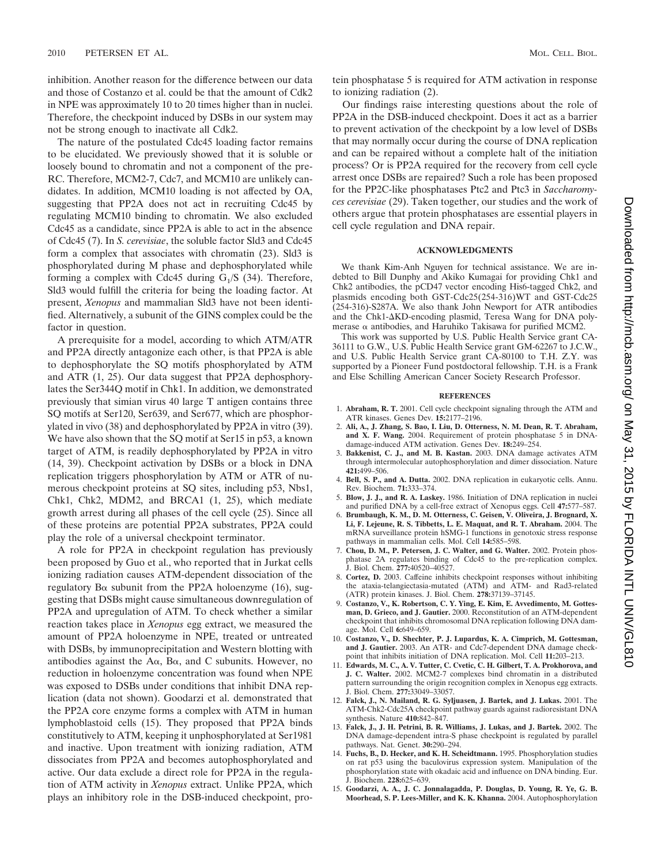inhibition. Another reason for the difference between our data and those of Costanzo et al. could be that the amount of Cdk2 in NPE was approximately 10 to 20 times higher than in nuclei. Therefore, the checkpoint induced by DSBs in our system may not be strong enough to inactivate all Cdk2.

The nature of the postulated Cdc45 loading factor remains to be elucidated. We previously showed that it is soluble or loosely bound to chromatin and not a component of the pre-RC. Therefore, MCM2-7, Cdc7, and MCM10 are unlikely candidates. In addition, MCM10 loading is not affected by OA, suggesting that PP2A does not act in recruiting Cdc45 by regulating MCM10 binding to chromatin. We also excluded Cdc45 as a candidate, since PP2A is able to act in the absence of Cdc45 (7). In *S. cerevisiae*, the soluble factor Sld3 and Cdc45 form a complex that associates with chromatin (23). Sld3 is phosphorylated during M phase and dephosphorylated while forming a complex with Cdc45 during  $G_1/S$  (34). Therefore, Sld3 would fulfill the criteria for being the loading factor. At present, *Xenopus* and mammalian Sld3 have not been identified. Alternatively, a subunit of the GINS complex could be the factor in question.

A prerequisite for a model, according to which ATM/ATR and PP2A directly antagonize each other, is that PP2A is able to dephosphorylate the SQ motifs phosphorylated by ATM and ATR (1, 25). Our data suggest that PP2A dephosphorylates the Ser344Q motif in Chk1. In addition, we demonstrated previously that simian virus 40 large T antigen contains three SQ motifs at Ser120, Ser639, and Ser677, which are phosphorylated in vivo (38) and dephosphorylated by PP2A in vitro (39). We have also shown that the SQ motif at Ser15 in p53, a known target of ATM, is readily dephosphorylated by PP2A in vitro (14, 39). Checkpoint activation by DSBs or a block in DNA replication triggers phosphorylation by ATM or ATR of numerous checkpoint proteins at SQ sites, including p53, Nbs1, Chk1, Chk2, MDM2, and BRCA1 (1, 25), which mediate growth arrest during all phases of the cell cycle (25). Since all of these proteins are potential PP2A substrates, PP2A could play the role of a universal checkpoint terminator.

A role for PP2A in checkpoint regulation has previously been proposed by Guo et al., who reported that in Jurkat cells ionizing radiation causes ATM-dependent dissociation of the regulatory B $\alpha$  subunit from the PP2A holoenzyme (16), suggesting that DSBs might cause simultaneous downregulation of PP2A and upregulation of ATM. To check whether a similar reaction takes place in *Xenopus* egg extract, we measured the amount of PP2A holoenzyme in NPE, treated or untreated with DSBs, by immunoprecipitation and Western blotting with antibodies against the  $A\alpha$ ,  $B\alpha$ , and C subunits. However, no reduction in holoenzyme concentration was found when NPE was exposed to DSBs under conditions that inhibit DNA replication (data not shown). Goodarzi et al. demonstrated that the PP2A core enzyme forms a complex with ATM in human lymphoblastoid cells (15). They proposed that PP2A binds constitutively to ATM, keeping it unphosphorylated at Ser1981 and inactive. Upon treatment with ionizing radiation, ATM dissociates from PP2A and becomes autophosphorylated and active. Our data exclude a direct role for PP2A in the regulation of ATM activity in *Xenopus* extract. Unlike PP2A, which plays an inhibitory role in the DSB-induced checkpoint, protein phosphatase 5 is required for ATM activation in response to ionizing radiation (2).

Our findings raise interesting questions about the role of PP2A in the DSB-induced checkpoint. Does it act as a barrier to prevent activation of the checkpoint by a low level of DSBs that may normally occur during the course of DNA replication and can be repaired without a complete halt of the initiation process? Or is PP2A required for the recovery from cell cycle arrest once DSBs are repaired? Such a role has been proposed for the PP2C-like phosphatases Ptc2 and Ptc3 in *Saccharomyces cerevisiae* (29). Taken together, our studies and the work of others argue that protein phosphatases are essential players in cell cycle regulation and DNA repair.

### **ACKNOWLEDGMENTS**

We thank Kim-Anh Nguyen for technical assistance. We are indebted to Bill Dunphy and Akiko Kumagai for providing Chk1 and Chk2 antibodies, the pCD47 vector encoding His6-tagged Chk2, and plasmids encoding both GST-Cdc25(254-316)WT and GST-Cdc25 (254-316)-S287A. We also thank John Newport for ATR antibodies and the Chk1- $\Delta$ KD-encoding plasmid, Teresa Wang for DNA polymerase  $\alpha$  antibodies, and Haruhiko Takisawa for purified MCM2.

This work was supported by U.S. Public Health Service grant CA-36111 to G.W., U.S. Public Health Service grant GM-62267 to J.C.W., and U.S. Public Health Service grant CA-80100 to T.H. Z.Y. was supported by a Pioneer Fund postdoctoral fellowship. T.H. is a Frank and Else Schilling American Cancer Society Research Professor.

#### **REFERENCES**

- 1. **Abraham, R. T.** 2001. Cell cycle checkpoint signaling through the ATM and ATR kinases. Genes Dev. **15:**2177–2196.
- 2. **Ali, A., J. Zhang, S. Bao, I. Liu, D. Otterness, N. M. Dean, R. T. Abraham, and X. F. Wang.** 2004. Requirement of protein phosphatase 5 in DNAdamage-induced ATM activation. Genes Dev. **18:**249–254.
- 3. **Bakkenist, C. J., and M. B. Kastan.** 2003. DNA damage activates ATM through intermolecular autophosphorylation and dimer dissociation. Nature **421:**499–506.
- 4. **Bell, S. P., and A. Dutta.** 2002. DNA replication in eukaryotic cells. Annu. Rev. Biochem. **71:**333–374.
- 5. **Blow, J. J., and R. A. Laskey.** 1986. Initiation of DNA replication in nuclei and purified DNA by a cell-free extract of Xenopus eggs. Cell **47:**577–587.
- 6. **Brumbaugh, K. M., D. M. Otterness, C. Geisen, V. Oliveira, J. Brognard, X. Li, F. Lejeune, R. S. Tibbetts, L. E. Maquat, and R. T. Abraham.** 2004. The mRNA surveillance protein hSMG-1 functions in genotoxic stress response pathways in mammalian cells. Mol. Cell **14:**585–598.
- 7. **Chou, D. M., P. Petersen, J. C. Walter, and G. Walter.** 2002. Protein phosphatase 2A regulates binding of Cdc45 to the pre-replication complex. J. Biol. Chem. **277:**40520–40527.
- 8. **Cortez, D.** 2003. Caffeine inhibits checkpoint responses without inhibiting the ataxia-telangiectasia-mutated (ATM) and ATM- and Rad3-related (ATR) protein kinases. J. Biol. Chem. **278:**37139–37145.
- 9. **Costanzo, V., K. Robertson, C. Y. Ying, E. Kim, E. Avvedimento, M. Gottesman, D. Grieco, and J. Gautier.** 2000. Reconstitution of an ATM-dependent checkpoint that inhibits chromosomal DNA replication following DNA damage. Mol. Cell **6:**649–659.
- 10. **Costanzo, V., D. Shechter, P. J. Lupardus, K. A. Cimprich, M. Gottesman, and J. Gautier.** 2003. An ATR- and Cdc7-dependent DNA damage checkpoint that inhibits initiation of DNA replication. Mol. Cell **11:**203–213.
- 11. **Edwards, M. C., A. V. Tutter, C. Cvetic, C. H. Gilbert, T. A. Prokhorova, and J. C. Walter.** 2002. MCM2-7 complexes bind chromatin in a distributed pattern surrounding the origin recognition complex in Xenopus egg extracts. J. Biol. Chem. **277:**33049–33057.
- 12. **Falck, J., N. Mailand, R. G. Syljuasen, J. Bartek, and J. Lukas.** 2001. The ATM-Chk2-Cdc25A checkpoint pathway guards against radioresistant DNA synthesis. Nature **410:**842–847.
- 13. **Falck, J., J. H. Petrini, B. R. Williams, J. Lukas, and J. Bartek.** 2002. The DNA damage-dependent intra-S phase checkpoint is regulated by parallel pathways. Nat. Genet. **30:**290–294.
- 14. **Fuchs, B., D. Hecker, and K. H. Scheidtmann.** 1995. Phosphorylation studies on rat p53 using the baculovirus expression system. Manipulation of the phosphorylation state with okadaic acid and influence on DNA binding. Eur. J. Biochem. **228:**625–639.
- 15. **Goodarzi, A. A., J. C. Jonnalagadda, P. Douglas, D. Young, R. Ye, G. B. Moorhead, S. P. Lees-Miller, and K. K. Khanna.** 2004. Autophosphorylation